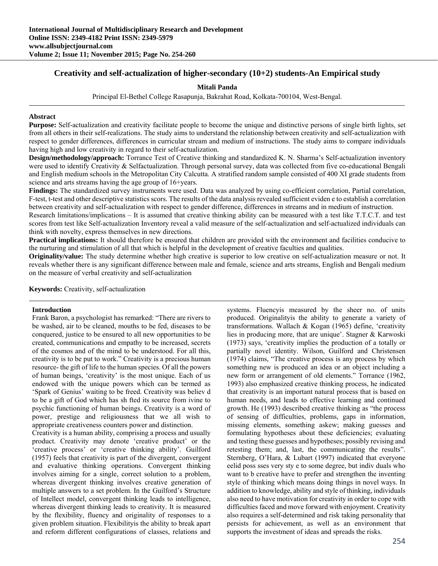# **Creativity and self-actualization of higher-secondary (10+2) students-An Empirical study**

#### **Mitali Panda**

Principal El-Bethel College Rasapunja, Bakrahat Road, Kolkata-700104, West-Bengal.

#### **Abstract**

**Purpose:** Self-actualization and creativity facilitate people to become the unique and distinctive persons of single birth lights, set from all others in their self-realizations. The study aims to understand the relationship between creativity and self-actualization with respect to gender differences, differences in curricular stream and medium of instructions. The study aims to compare individuals having high and low creativity in regard to their self-actualization.

**Design/methodology/approach:** Torrance Test of Creative thinking and standardized K. N. Sharma's Self-actualization inventory were used to identify Creativity & Selfactualization. Through personal survey, data was collected from five co-educational Bengali and English medium schools in the Metropolitan City Calcutta. A stratified random sample consisted of 400 XI grade students from science and arts streams having the age group of 16+years.

**Findings:** The standardized survey instruments were used. Data was analyzed by using co-efficient correlation, Partial correlation, F-test, t-test and other descriptive statistics scors. The results of the data analysis revealed sufficient eviden e to establish a correlation between creativity and self-actualization with respect to gender difference, differences in streams and in medium of instruction.

Research limitations/implications – It is assumed that creative thinking ability can be measured with a test like T.T.C.T. and test scores from test like Self-actualization Inventory reveal a valid measure of the self-actualization and self-actualized individuals can think with novelty, express themselves in new directions.

**Practical implications:** It should therefore be ensured that children are provided with the environment and facilities conducive to the nurturing and stimulation of all that which is helpful in the development of creative faculties and qualities.

**Originality/value:** The study determine whether high creative is superior to low creative on self-actualization measure or not. It reveals whether there is any significant difference between male and female, science and arts streams, English and Bengali medium on the measure of verbal creativity and self-actualization

**Keywords:** Creativity, self-actualization

#### **Introduction**

Frank Baron, a psychologist has remarked: "There are rivers to be washed, air to be cleaned, mouths to be fed, diseases to be conquered, justice to be ensured to all new opportunities to be created, communications and empathy to be increased, secrets of the cosmos and of the mind to be understood. For all this, creativity is to be put to work." Creativity is a precious human resource- the gift of life to the human species. Of all the powers of human beings, 'creativity' is the most unique. Each of us endowed with the unique powers which can be termed as 'Spark of Genius' waiting to be freed. Creativity was believ d to be a gift of God which has sh fted its source from ivine to psychic functioning of human beings. Creativity is a word of power, prestige and religiousness that we all wish to appropriate creativeness counters power and distinction.

Creativity is a human ability, comprising a process and usually product. Creativity may denote 'creative product' or the 'creative process' or 'creative thinking ability'. Guilford (1957) feels that creativity is part of the divergent, convergent and evaluative thinking operations. Convergent thinking involves aiming for a single, correct solution to a problem, whereas divergent thinking involves creative generation of multiple answers to a set problem. In the Guilford's Structure of Intellect model, convergent thinking leads to intelligence, whereas divergent thinking leads to creativity. It is measured by the flexibility, fluency and originality of responses to a given problem situation. Flexibilityis the ability to break apart and reform different configurations of classes, relations and

systems. Fluencyis measured by the sheer no. of units produced. Originalityis the ability to generate a variety of transformations. Wallach & Kogan (1965) define, 'creativity lies in producing more, that are unique'. Stagner & Karwoski (1973) says, 'creativity implies the production of a totally or partially novel identity. Wilson, Guilford and Christensen (1974) claims, "The creative process is any process by which something new is produced an idea or an object including a new form or arrangement of old elements." Torrance (1962, 1993) also emphasized creative thinking process, he indicated that creativity is an important natural process that is based on human needs, and leads to effective learning and continued growth. He (1993) described creative thinking as "the process of sensing of difficulties, problems, gaps in information, missing elements, something askew; making guesses and formulating hypotheses about these deficiencies; evaluating and testing these guesses and hypotheses; possibly revising and retesting them; and, last, the communicating the results". Sternberg, O'Hara, & Lubart (1997) indicated that everyone eelid poss sses very sty e to some degree, but indiv duals who want to b creative have to prefer and strengthen the inventing style of thinking which means doing things in novel ways. In addition to knowledge, ability and style of thinking, individuals also need to have motivation for creativity in order to cope with difficulties faced and move forward with enjoyment. Creativity also requires a self-determined and risk taking personality that persists for achievement, as well as an environment that supports the investment of ideas and spreads the risks.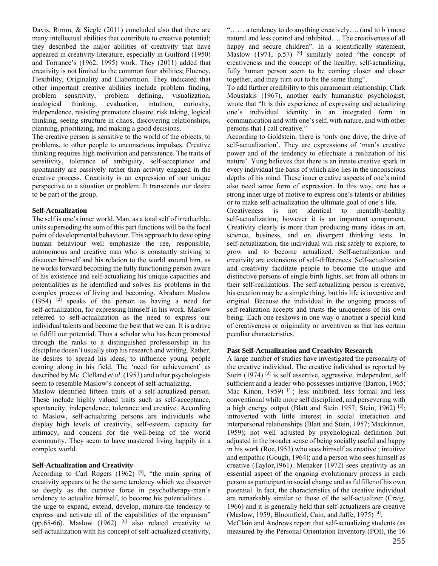Davis, Rimm, & Siegle (2011) concluded also that there are many intellectual abilities that contribute to creative potential; they described the major abilities of creativity that have appeared in creativity literature, especially in Guilford (1950) and Torrance's (1962, 1995) work. They (2011) added that creativity is not limited to the common four abilities; Fluency, Flexibility, Originality and Elaboration. They indicated that other important creative abilities include problem finding, problem sensitivity, problem defining, visualization, analogical thinking, evaluation, intuition, curiosity, independence, resisting premature closure, risk taking, logical thinking, seeing structure in chaos, discovering relationships, planning, prioritizing, and making a good decisions.

The creative person is sensitive to the world of the objects, to problems, to other people to unconscious impulses. Creative thinking requires high motivation and persistence. The traits of sensitivity, tolerance of ambiguity, self-acceptance and spontaneity are passively rather than activity engaged in the creative process. Creativity is an expression of our unique perspective to a situation or problem. It transcends our desire to be part of the group.

#### **Self-Actualization**

The self is one's inner world. Man, as a total self of irreducible, units superseding the sum of this part functions will be the focal point of developmental behaviour. This approach to deve oping human behaviour well emphasize the ree, responsible, autonomous and creative man who is constantly striving to discover himself and his relation to the world around him, as he works forward becoming the fully functioning person aware of his existence and self-actualizing his unique capacities and potentialities as he identified and solves his problems in the complex process of living and becoming. Abraham Maslow (1954) [2] speaks of the person as having a need for self-actualization, for expressing himself in his work. Maslow referred to self-actualization as the need to express our individual talents and become the best that we can. It is a drive to fulfill our potential. Thus a scholar who has been promoted through the ranks to a distinguished professorship in his discipline doesn't usually stop his research and writing. Rather, he desires to spread his ideas, to influence young people coming along in his field. The 'need for achievement' as described by Mc. Clelland *et al*. (1953) and other psychologists seem to resemble Maslow's concept of self-actualizing.

Maslow identified fifteen traits of a self-actualized person. These include highly valued traits such as self-acceptance, spontaneity, independence, tolerance and creative. According to Maslow, self-actualizing persons are individuals who display high levels of creativity, self-esteem, capacity for intimacy, and concern for the well-being of the world community. They seem to have mastered living happily in a complex world.

# **Self-Actualization and Creativity**

According to Carl Rogers  $(1962)$  <sup>[9]</sup>, "the main spring of creativity appears to be the same tendency which we discover so deeply as the curative force in psychotherapy-man's tendency to actualize himself, to become his potentialities … the urge to expand, extend, develop, mature-the tendency to express and activate all of the capabilities of the organism" (pp.65-66). Maslow  $(1962)$  <sup>[6]</sup> also related creativity to self-actualization with his concept of self-actualized creativity, "…… a tendency to do anything creatively…. (and to b ) more natural and less control and inhibited…. The creativeness of all happy and secure children". In a scientifically statement, Maslow (1971, p.57) <sup>[9]</sup> similarly noted "the concept of creativeness and the concept of the healthy, self-actualizing, fully human person seem to be coming closer and closer together, and may turn out to be the same thing".

To add further credibility to this paramount relationship, Clark Moustakis (1967), another early humanistic psychologist, wrote that "It is this experience of expressing and actualizing one's individual identity in an integrated form in communication and with one's self, with nature, and with other persons that I call creative."

According to Goldstein, there is 'only one drive, the drive of self-actualization'. They are expressions of 'man's creative power and of the tendency to effectuate a realization of his nature'. Yung believes that there is an innate creative spark in every individual the basis of which also lies in the unconscious depths of his mind. These inner creative aspects of one's mind also need some form of expression. In this way, one has a strong inner urge of motive to express one's talents or abilities or to make self-actualization the ultimate goal of one's life.

Creativeness is not identical to mentally-healthy self-actualization; however it is an important component. Creativity clearly is more than producing many ideas in art, science, business, and on divergent thinking tests. In self-actualization, the individual will risk safely to explore, to grow and to become actualized. Self-actualization and creativity are extensions of self-differences. Self-actualization and creativity facilitate people to become the unique and distinctive persons of single birth lights, set from all others in their self-realizations. The self-actualizing person is creative, his creation may be a simple thing, but his life is inventive and original. Because the individual in the ongoing process of self-realization accepts and trusts the uniqueness of his own being. Each one reshows in one way o another a special kind of creativeness or originality or inventiven ss that has certain peculiar characteristics.

# **Past Self-Actualization and Creativity Research**

A large number of studies have investigated the personality of the creative individual. The creative individual as reported by Stein (1974)<sup>[3]</sup> is self assertive, aggressive, independent, self sufficient and a leader who possesses initiative (Barron, 1965; Mac Kinon, 1959) <sup>[1]</sup>; less inhibited, less formal and less conventional while more self disciplined, and persevering with a high energy output (Blatt and Stein 1957; Stein, 1962) [2]; introverted with little interest in social interaction and interpersonal relationships (Blatt and Stein, 1957; Mackinnon, 1959); not well adjusted by psychological definition but adjusted in the broader sense of being socially useful and happy in his work (Roe,1953) who sees himself as creative ; intuitive and empathic (Gough, 1964); and a person who sees himself as creative (Taylor,1961). Menaker (1972) sees creativity as an essential aspect of the ongoing evolutionary process in each person as participant in social change and as fulfiller of his own potential. In fact, the characteristics of the creative individual are remarkably similar to those of the self-actualizer (Craig, 1966) and it is generally held that self-actualizers are creative (Maslow, 1959; Bloomfield, Cain, and Jaffe, 1975) [4].

McClain and Andrews report that self-actualizing students (as measured by the Personal Orientation Inventory (POI), the 16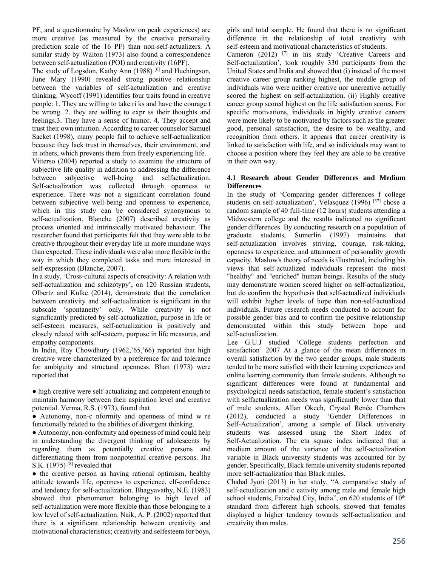PF, and a questionnaire by Maslow on peak experiences) are more creative (as measured by the creative personality prediction scale of the 16 PF) than non-self-actualizers. A similar study by Walton (1973) also found a correspondence between self-actualization (POI) and creativity (16PF).

The study of Logsdon, Kathy Ann (1988)<sup>[6]</sup> and Huchingson, June Mary (1990) revealed strong positive relationship between the variables of self-actualization and creative thinking. Wycoff (1991) identifies four traits found in creative people: 1. They are willing to take ri ks and have the courage t be wrong. 2. they are willing to expr ss their thoughts and feelings.3. They have a sense of humor. 4. They accept and trust their own intuition. According to career counselor Samuel Sacket (1998), many people fail to achieve self-actualization because they lack trust in themselves, their environment, and in others, which prevents them from freely experiencing life.

Vitterso (2004) reported a study to examine the structure of subjective life quality in addition to addressing the difference between subjective well-being and selfactualization. Self-actualization was collected through openness to experience. There was not a significant correlation found between subjective well-being and openness to experience, which in this study can be considered synonymous to self-actualization. Blanche (2007) described creativity as process oriented and intrinsically motivated behaviour. The researcher found that participants felt that they were able to be creative throughout their everyday life in more mundane ways than expected. These individuals were also more flexible in the way in which they completed tasks and more interested in self-expression (Blanche, 2007).

In a study, 'Cross-cultural aspects of creativity: A relation with self-actualization and schizotypy', on 120 Russian students, Olbertz and Kulke (2014), demonstrate that the correlation between creativity and self-actualization is significant in the subscale 'spontaneity' only. While creativity is not significantly predicted by self-actualization, purpose in life or self-esteem measures, self-actualization is positively and closely related with self-esteem, purpose in life measures, and empathy components.

In India, Roy Chowdhury (1962,'65,'66) reported that high creative were characterized by a preference for and tolerance for ambiguity and structural openness. Bhan (1973) were reported that

• high creative were self-actualizing and competent enough to maintain harmony between their aspiration level and creative potential. Verma, R.S. (1973), found that

● Autonomy, non-c nformity and openness of mind w re functionally related to the abilities of divergent thinking.

● Autonomy, non-conformity and openness of mind could help in understanding the divergent thinking of adolescents by regarding them as potentially creative persons and differentiating them from nonpotential creative persons. Jha S.K.  $(1975)$ <sup>[8]</sup> revealed that

• the creative person as having rational optimism, healthy attitude towards life, openness to experience, elf-confidence and tendency for self-actualization. Bhagyavathy, N.E. (1983) showed that phenomenon belonging to high level of self-actualization were more flexible than those belonging to a low level of self-actualization. Naik, A. P. (2002) reported that there is a significant relationship between creativity and motivational characteristics; creativity and selfesteem for boys,

girls and total sample. He found that there is no significant difference in the relationship of total creativity with self-esteem and motivational characteristics of students.

Cameron (2012) [7] in his study 'Creative Careers and Self-actualization', took roughly 330 participants from the United States and India and showed that (i) instead of the most creative career group ranking highest, the middle group of individuals who were neither creative nor uncreative actually scored the highest on self-actualization. (ii) Highly creative career group scored highest on the life satisfaction scores. For specific motivations, individuals in highly creative careers were more likely to be motivated by factors such as the greater good, personal satisfaction, the desire to be wealthy, and recognition from others. It appears that career creativity is linked to satisfaction with life, and so individuals may want to choose a position where they feel they are able to be creative in their own way.

#### **4.1 Research about Gender Differences and Medium Differences**

In the study of 'Comparing gender differences f college students on self-actualization', Velasquez (1996)<sup>[37]</sup> chose a random sample of 40 full-time (12 hours) students attending a Midwestern college and the results indicated no significant gender differences. By conducting research on a population of graduate students, Sumerlin (1997) maintains that self-actualization involves striving, courage, risk-taking, openness to experience, and attainment of personality growth capacity. Maslow's theory of needs is illustrated, including his views that self-actualized individuals represent the most "healthy" and "enriched" human beings. Results of the study may demonstrate women scored higher on self-actualization, but do confirm the hypothesis that self-actualized individuals will exhibit higher levels of hope than non-self-actualized individuals. Future research needs conducted to account for possible gender bias and to confirm the positive relationship demonstrated within this study between hope and self-actualization.

Lee G.U.J studied 'College students perfection and satisfaction' 2007 At a glance of the mean differences in overall satisfaction by the two gender groups, male students tended to be more satisfied with their learning experiences and online learning community than female students. Although no significant differences were found at fundamental and psychological needs satisfaction, female student's satisfaction with selfactualization needs was significantly lower than that of male students. Allan Okech, Crystal Renée Chambers (2012), conducted a study 'Gender Differences in Self-Actualization', among a sample of Black university students was assessed using the Short Index of Self-Actualization. The eta square index indicated that a medium amount of the variance of the self-actualization variable in Black university students was accounted for by gender. Specifically, Black female university students reported more self-actualization than Black males.

Chahal Jyoti (2013) in her study, "A comparative study of self-actualization and c eativity among male and female high school students, Faizabad City, India", on 620 students of 10<sup>th</sup> standard from different high schools, showed that females displayed a higher tendency towards self-actualization and creativity than males.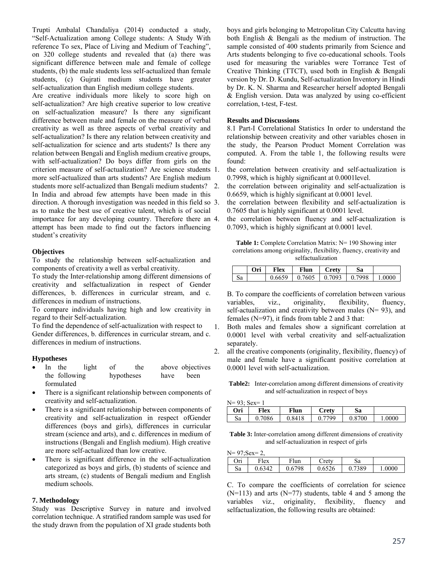Trupti Ambalal Chandaliya (2014) conducted a study, "Self-Actualization among College students: A Study With reference To sex, Place of Living and Medium of Teaching", on 320 college students and revealed that (a) there was significant difference between male and female of college students, (b) the male students less self-actualized than female students, (c) Gujrati medium students have greater self-actualization than English medium college students.

Are creative individuals more likely to score high on self-actualization? Are high creative superior to low creative on self-actualization measure? Is there any significant difference between male and female on the measure of verbal creativity as well as three aspects of verbal creativity and self-actualization? Is there any relation between creativity and self-actualization for science and arts students? Is there any relation between Bengali and English medium creative groups, with self-actualization? Do boys differ from girls on the criterion measure of self-actualization? Are science students more self-actualized than arts students? Are English medium students more self-actualized than Bengali medium students? 2. In India and abroad few attempts have been made in this direction. A thorough investigation was needed in this field so 3. as to make the best use of creative talent, which is of social importance for any developing country. Therefore there an 4. attempt has been made to find out the factors influencing student's creativity

#### **Objectives**

To study the relationship between self-actualization and components of creativity a well as verbal creativity.

To study the Inter-relationship among different dimensions of creativity and selfactualization in respect of Gender differences, b. differences in curricular stream, and c. differences in medium of instructions.

To compare individuals having high and low creativity in regard to their Self-actualization.

To find the dependence of self-actualization with respect to Gender differences, b. differences in curricular stream, and c. differences in medium of instructions.

# **Hypotheses**

- In the light of the above objectives the following hypotheses have been formulated
- There is a significant relationship between components of creativity and self-actualization.
- There is a significant relationship between components of creativity and self-actualization in respect ofGender differences (boys and girls), differences in curricular stream (science and arts), and c. differences in medium of instructions (Bengali and English medium). High creative are more self-actualized than low creative.
- There is significant difference in the self-actualization categorized as boys and girls, (b) students of science and arts stream, (c) students of Bengali medium and English medium schools.

# **7. Methodology**

Study was Descriptive Survey in nature and involved correlation technique. A stratified random sample was used for the study drawn from the population of XI grade students both boys and girls belonging to Metropolitan City Calcutta having both English & Bengali as the medium of instruction. The sample consisted of 400 students primarily from Science and Arts students belonging to five co-educational schools. Tools used for measuring the variables were Torrance Test of Creative Thinking (TTCT), used both in English & Bengali version by Dr. D. Kundu, Self-actualization Inventory in Hindi by Dr. K. N. Sharma and Researcher herself adopted Bengali & English version. Data was analyzed by using co-efficient correlation, t-test, F-test.

#### **Results and Discussions**

8.1 Part-I Correlational Statistics In order to understand the relationship between creativity and other variables chosen in the study, the Pearson Product Moment Correlation was computed. A. From the table 1, the following results were found:

- the correlation between creativity and self-actualization is 0.7998, which is highly significant at 0.0001level.
- the correlation between originality and self-actualization is 0.6659, which is highly significant at 0.0001 level.

the correlation between flexibility and self-actualization is 0.7605 that is highly significant at 0.0001 level.

the correlation between fluency and self-actualization is 0.7093, which is highly significant at 0.0001 level.

Table 1: Complete Correlation Matrix: N= 190 Showing inter correlations among originality, flexibility, fluency, creativity and selfactualization

|    | Ori | Flex   | Flun   | <b>Crety</b> | Sa     |       |
|----|-----|--------|--------|--------------|--------|-------|
| Sа |     | 0.6659 | 0.7605 | 0.7093       | 0.7998 | .0000 |

B. To compare the coefficients of correlation between various variables, viz., originality, flexibility, fluency, self-actualization and creativity between males ( $N= 93$ ), and females (N=97), it finds from table 2 and 3 that:

- 1. Both males and females show a significant correlation at 0.0001 level with verbal creativity and self-actualization separately.
- 2. all the creative components (originality, flexibility, fluency) of male and female have a significant positive correlation at 0.0001 level with self-actualization.

**Table2:** Inter-correlation among different dimensions of creativity and self-actualization in respect of boys

| $N=93$ ; Sex= 1 |        |        |              |        |        |  |  |  |  |
|-----------------|--------|--------|--------------|--------|--------|--|--|--|--|
| Ori             | Flex   | Flun   | <b>Crety</b> | Sa     |        |  |  |  |  |
| Sa              | 0.7086 | 0.8418 | 0.7799       | 0.8700 | 1.0000 |  |  |  |  |

**Table 3:** Inter-correlation among different dimensions of creativity and self-actualization in respect of girls

 $N= 97$ ;  $Sex= 2$ 

| $15 - 27.06A - 2$ |        |        |        |        |       |  |  |  |  |
|-------------------|--------|--------|--------|--------|-------|--|--|--|--|
| Ori               | Flex   | Flun   | Cretv  | Sа     |       |  |  |  |  |
| Sa                | 0.6342 | 0.6798 | 0.6526 | 0.7389 | .0000 |  |  |  |  |

C. To compare the coefficients of correlation for science  $(N=113)$  and arts  $(N=77)$  students, table 4 and 5 among the variables viz., originality, flexibility, fluency and selfactualization, the following results are obtained: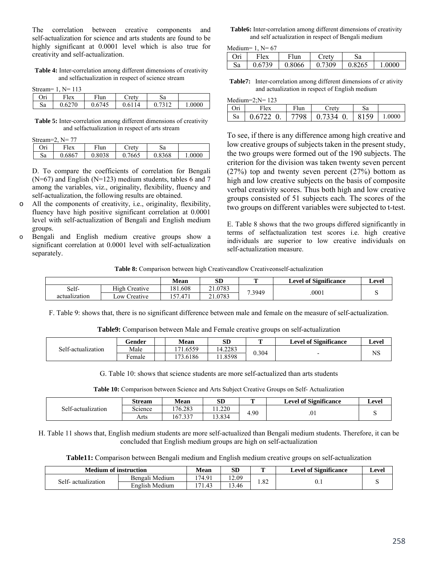The correlation between creative components and self-actualization for science and arts students are found to be highly significant at 0.0001 level which is also true for creativity and self-actualization.

**Table 4:** Inter-correlation among different dimensions of creativity and selfactualization in respect of science stream

Stream=  $1$ , N=  $113$ 

| 5000      | . .<br>. .<br>. |            |      |    |                       |
|-----------|-----------------|------------|------|----|-----------------------|
| ∩⊷<br>UII | T1<br>lex       | г1<br>'lun | retv | Sа |                       |
| Sa        | v.v∠            | 74         | 14   |    | 0000<br>$\cdot \cdot$ |
|           |                 |            |      |    |                       |

**Table 5:** Inter-correlation among different dimensions of creativity and selfactualization in respect of arts stream

| Stream=2, $N=77$ |  |
|------------------|--|
|                  |  |

| $\sim$ | ---<br>. . |        |       |        |        |
|--------|------------|--------|-------|--------|--------|
| Ori    | Flex       | F lun  | ctev  | Sа     |        |
| Sa     | 0.6867     | 0.8038 | .7665 | 0.8368 | 1.0000 |

D. To compare the coefficients of correlation for Bengali  $(N=67)$  and English  $(N=123)$  medium students, tables 6 and 7 among the variables, viz., originality, flexibility, fluency and self-actualization, the following results are obtained.

- o All the components of creativity, i.e., originality, flexibility, fluency have high positive significant correlation at 0.0001 level with self-actualization of Bengali and English medium groups.
- o Bengali and English medium creative groups show a significant correlation at 0.0001 level with self-actualization separately.

**Table6:** Inter-correlation among different dimensions of creativity and self actualization in respect of Bengali medium

Medium=  $1$  N= 67

| 1110011111 |        |                                   |       |                |        |
|------------|--------|-----------------------------------|-------|----------------|--------|
| Ori        | Flex   | Flun                              | Crety |                |        |
| Sa         | 0.6739 | $\vert 0.8066 \vert 0.7309 \vert$ |       | $\big  0.8265$ | 1.0000 |

**Table7:** Inter-correlation among different dimensions of cr ativity and actualization in respect of English medium

| Medium= $2:N=123$ |                |      |                    |      |        |  |  |  |  |
|-------------------|----------------|------|--------------------|------|--------|--|--|--|--|
| Ori               | Flex           | Flun | Cretv              |      |        |  |  |  |  |
| Sa                | $0.6722 \; 0.$ |      | $7798$   0.7334 0. | 8159 | 1.0000 |  |  |  |  |

To see, if there is any difference among high creative and low creative groups of subjects taken in the present study, the two groups were formed out of the 190 subjects. The criterion for the division was taken twenty seven percent (27%) top and twenty seven percent (27%) bottom as high and low creative subjects on the basis of composite verbal creativity scores. Thus both high and low creative groups consisted of 51 subjects each. The scores of the two groups on different variables were subjected to t-test.

E. Table 8 shows that the two groups differed significantly in terms of selfactualization test scores i.e. high creative individuals are superior to low creative individuals on self-actualization measure.

**Table 8:** Comparison between high Creativeandlow Creativeonself-actualization

|               |                          | <b>Mean</b>                   | SD                    |        | <b>Level of Significance</b> | Level |
|---------------|--------------------------|-------------------------------|-----------------------|--------|------------------------------|-------|
| Self-         | High (<br>reative        | 181.608                       | .0783<br>$^{\bullet}$ |        | 0001                         |       |
| actualization | $\sim$ 0W $'$<br>Teative | $\Delta$ 7'<br>F <sub>T</sub> | .0783                 | 7.3949 |                              |       |

F. Table 9: shows that, there is no significant difference between male and female on the measure of self-actualization.

|                    | Gender | <b>Mean</b> | <b>SD</b> | m     | <b>Level of Significance</b> | ∟evel |
|--------------------|--------|-------------|-----------|-------|------------------------------|-------|
| Self-actualization | Male   | 1.6559      | 14.2283   | 0.304 |                              |       |
|                    | ∹emale | 73.6186     | .8598     |       | $\overline{\phantom{0}}$     |       |

G. Table 10: shows that science students are more self-actualized than arts students

**Table 10:** Comparison between Science and Arts Subject Creative Groups on Self- Actualization

|                    | <b>Stream</b> | <b>Mean</b> | SD           | m    | <b>Level of Significance</b> | Level |
|--------------------|---------------|-------------|--------------|------|------------------------------|-------|
| Self-actualization | -<br>science  | 176.283     | 1.220<br>. . | 4.90 |                              |       |
|                    | Arts          | 167.337     | . 3.834      |      |                              | .U 1  |

H. Table 11 shows that, English medium students are more self-actualized than Bengali medium students. Therefore, it can be concluded that English medium groups are high on self-actualization

**Table11:** Comparison between Bengali medium and English medium creative groups on self-actualization

| <b>Medium of instruction</b> |                | Mean   | SL              | m    | <b>Level of Significance</b> | Level |
|------------------------------|----------------|--------|-----------------|------|------------------------------|-------|
| Self- actualization          | Bengali Medium | 174.91 | 12.09           | L.82 | $0.1\,$                      |       |
|                              | English Medium | 171.43 | $\sim$<br>۔ 46۔ |      |                              |       |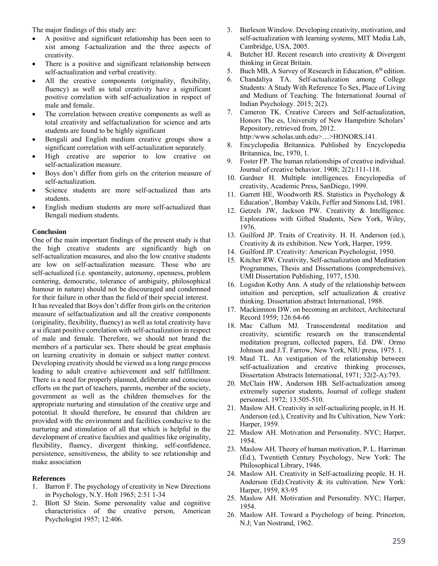The major findings of this study are:

- A positive and significant relationship has been seen to xist among f-actualization and the three aspects of creativity.
- There is a positive and significant relationship between self-actualization and verbal creativity.
- All the creative components (originality, flexibility, fluency) as well as total creativity have a significant positive correlation with self-actualization in respect of male and female.
- The correlation between creative components as well as total creativity and selfactualization for science and arts students are found to be highly significant
- Bengali and English medium creative groups show a significant correlation with self-actualization separately.
- High creative are superior to low creative on self-actualization measure.
- Boys don't differ from girls on the criterion measure of self-actualization.
- Science students are more self-actualized than arts students.
- English medium students are more self-actualized than Bengali medium students.

#### **Conclusion**

One of the main important findings of the present study is that the high creative students are significantly high on self-actualization measures, and also the low creative students are low on self-actualization measure. Those who are self-actualized (i.e. spontaneity, autonomy, openness, problem centering, democratic, tolerance of ambiguity, philosophical humour in nature) should not be discouraged and condemned for their failure in other than the field of their special interest. It has revealed that Boys don't differ from girls on the criterion measure of selfactualization and all the creative components (originality, flexibility, fluency) as well as total creativity have a si ificant positive correlation with self-actualization in respect of male and female. Therefore, we should not brand the members of a particular sex. There should be great emphasis on learning creativity in domain or subject matter context. Developing creativity should be viewed as a long range process leading to adult creative achievement and self fulfillment. There is a need for properly planned, deliberate and conscious efforts on the part of teachers, parents, member of the society, government as well as the children themselves for the appropriate nurturing and stimulation of the creative urge and potential. It should therefore, be ensured that children are provided with the environment and facilities conducive to the nurturing and stimulation of all that which is helpful in the development of creative faculties and qualities like originality, flexibility, fluency, divergent thinking, self-confidence, persistence, sensitiveness, the ability to see relationship and make association

#### **References**

- 1. Barron F. The psychology of creativity in New Directions in Psychology, N.Y. Holt 1965; 2:51 1-34
- 2. Blott SJ Stein. Some personality value and cognitive characteristics of the creative person, American Psychologist 1957; 12:406.
- 3. Burleson Winslow. Developing creativity, motivation, and self-actualization with learning systems, MIT Media Lab, Cambridge, USA, 2005.
- 4. Butcher HJ. Recent research into creativity & Divergent thinking in Great Britain.
- 5. Buch MB, A Survey of Research in Education, 6<sup>th</sup> edition.
- 6. Chandaliya TA. Self-actualization among College Students: A Study With Reference To Sex, Place of Living and Medium of Teaching. The International Journal of Indian Psychology. 2015; 2(2).
- 7. Cameron TK. Creative Careers and Self-actualization, Honors The es, University of New Hampshire Scholars' Repository, retrieved from, 2012. http:/www.scholas.unh.edu>…>HONORS.141.
- 8. Encyclopedia Britannica. Published by Encyclopedia Britannica, Inc, 1970, 1.
- 9. Foster FP. The human relationships of creative individual. Journal of creative behavior. 1908; 2(2):111-118.
- 10. Gardner H. Multiple intelligences. Encyclopedia of creativity, Academic Press, SanDiego, 1999.
- 11. Garrett HE, Woodworth RS. Statistics in Psychology & Education', Bombay Vakils, Feffer and Simons Ltd, 1981.
- 12. Getzels JW, Jackson PW. Creativity & Intelligence. Explorations with Gifted Students, New York, Wiley, 1976.
- 13. Guilford JP. Traits of Creativity. H. H. Anderson (ed.), Creativity & its exhibition. New York, Harper, 1959.
- 14. Guilford JP. Creativity: American Psychologist, 1950.
- 15. Kitcher RW. Creativity, Self-actualization and Meditation Programmes, Thesis and Dissertations (comprehensive), UMI Dissertation Publishing, 1977, 1530.
- 16. Logsdon Kothy Ann. A study of the relationship between intuition and perception, self actualization & creative thinking. Dissertation abstract International, 1988.
- 17. Mackinnnon DW. on becoming an architect, Architectural Record 1959; 126:64-66
- 18. Mac Callum MJ. Transcendental meditation and creativity, scientific research on the transcendental meditation program, collected papers, Ed. DW. Ormo Johnson and J.T. Farrow, New York, NIU press, 1975. 1.
- 19. Maul TL. An vestigation of the relationship between self-actualization and creative thinking processes, Dissertation Abstracts International, 1971; 32(2-A):793.
- 20. McClain HW, Anderson HB. Self-actualization among extremely superior students, Journal of college student personnel. 1972; 13:505-510.
- 21. Maslow AH. Creativity in self-actualizing people, in H. H. Anderson (ed.), Creativity and Its Cultivation, New York: Harper, 1959.
- 22. Maslow AH. Motivation and Personality. NYC; Harper, 1954.
- 23. Maslow AH. Theory of human motivation, P. L. Harriman (Ed.), Twentieth Century Psychology, New York: The Philosophical Library, 1946.
- 24. Maslow AH. Creativity in Self-actualizing people. H. H. Anderson (Ed).Creativity & its cultivation. New York: Harper, 1959, 83-95
- 25. Maslow AH. Motivation and Personality. NYC; Harper, 1954.
- 26. Maslow AH. Toward a Psychology of being. Princeton, N.J; Van Nostrand, 1962.